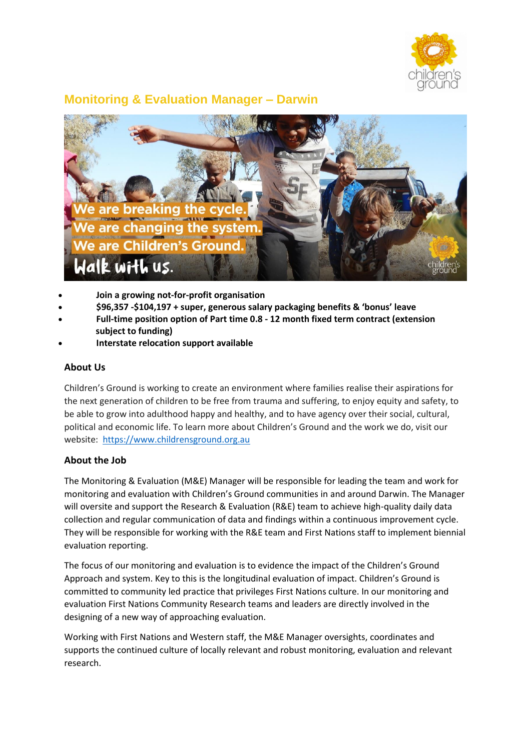

# **Monitoring & Evaluation Manager – Darwin**



- **Join a growing not-for-profit organisation**
- **\$96,357 -\$104,197 + super, generous salary packaging benefits & 'bonus' leave**
- **Full-time position option of Part time 0.8 - 12 month fixed term contract (extension subject to funding)**
- **Interstate relocation support available**

### **About Us**

Children's Ground is working to create an environment where families realise their aspirations for the next generation of children to be free from trauma and suffering, to enjoy equity and safety, to be able to grow into adulthood happy and healthy, and to have agency over their social, cultural, political and economic life. To learn more about Children's Ground and the work we do, visit our website: [https://www.childrensground.org.au](https://www.childrensground.org.au/)

### **About the Job**

The Monitoring & Evaluation (M&E) Manager will be responsible for leading the team and work for monitoring and evaluation with Children's Ground communities in and around Darwin. The Manager will oversite and support the Research & Evaluation (R&E) team to achieve high-quality daily data collection and regular communication of data and findings within a continuous improvement cycle. They will be responsible for working with the R&E team and First Nations staff to implement biennial evaluation reporting.

The focus of our monitoring and evaluation is to evidence the impact of the Children's Ground Approach and system. Key to this is the longitudinal evaluation of impact. Children's Ground is committed to community led practice that privileges First Nations culture. In our monitoring and evaluation First Nations Community Research teams and leaders are directly involved in the designing of a new way of approaching evaluation.

Working with First Nations and Western staff, the M&E Manager oversights, coordinates and supports the continued culture of locally relevant and robust monitoring, evaluation and relevant research.